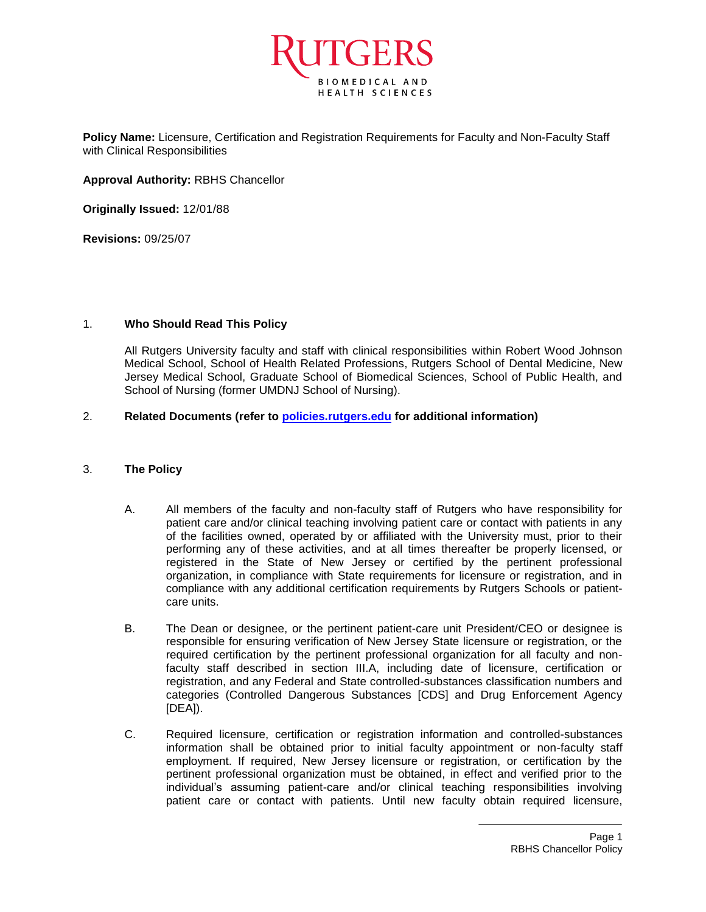

**Policy Name:** Licensure, Certification and Registration Requirements for Faculty and Non-Faculty Staff with Clinical Responsibilities

**Approval Authority:** RBHS Chancellor

**Originally Issued:** 12/01/88

**Revisions:** 09/25/07

## 1. **Who Should Read This Policy**

All Rutgers University faculty and staff with clinical responsibilities within Robert Wood Johnson Medical School, School of Health Related Professions, Rutgers School of Dental Medicine, New Jersey Medical School, Graduate School of Biomedical Sciences, School of Public Health, and School of Nursing (former UMDNJ School of Nursing).

## 2. **Related Documents (refer to [policies.rutgers.edu](file:///C:/Users/rsedlackpr001/Documents/Rutgers/Policies/RBHS%20Policies/policies.rutgers.edu) for additional information)**

## 3. **The Policy**

- A. All members of the faculty and non-faculty staff of Rutgers who have responsibility for patient care and/or clinical teaching involving patient care or contact with patients in any of the facilities owned, operated by or affiliated with the University must, prior to their performing any of these activities, and at all times thereafter be properly licensed, or registered in the State of New Jersey or certified by the pertinent professional organization, in compliance with State requirements for licensure or registration, and in compliance with any additional certification requirements by Rutgers Schools or patientcare units.
- B. The Dean or designee, or the pertinent patient-care unit President/CEO or designee is responsible for ensuring verification of New Jersey State licensure or registration, or the required certification by the pertinent professional organization for all faculty and nonfaculty staff described in section III.A, including date of licensure, certification or registration, and any Federal and State controlled-substances classification numbers and categories (Controlled Dangerous Substances [CDS] and Drug Enforcement Agency [DEA]).
- C. Required licensure, certification or registration information and controlled-substances information shall be obtained prior to initial faculty appointment or non-faculty staff employment. If required, New Jersey licensure or registration, or certification by the pertinent professional organization must be obtained, in effect and verified prior to the individual's assuming patient-care and/or clinical teaching responsibilities involving patient care or contact with patients. Until new faculty obtain required licensure,